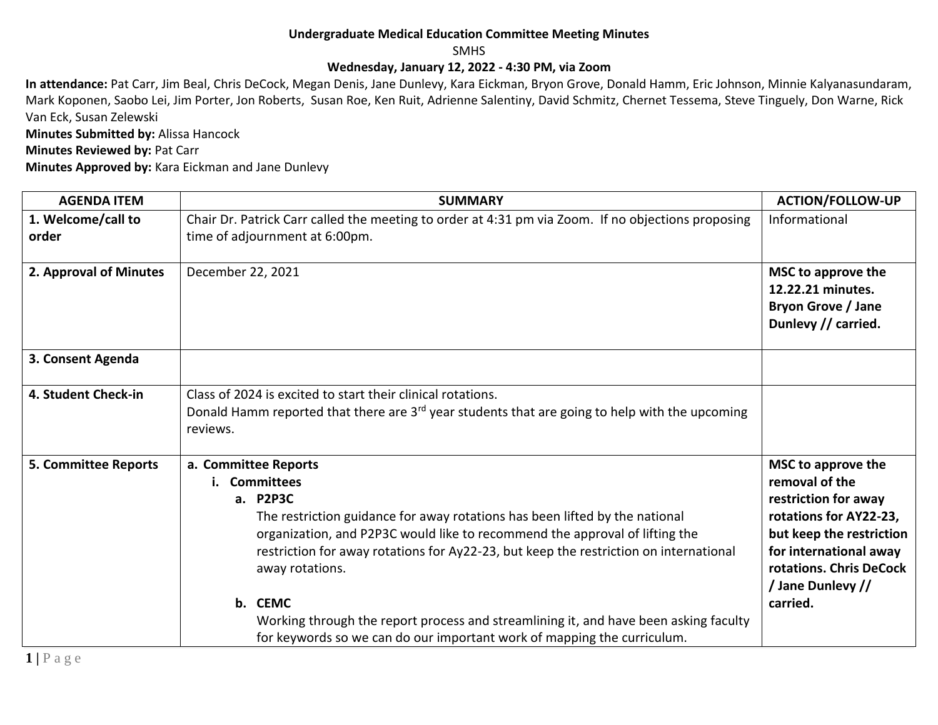## **Undergraduate Medical Education Committee Meeting Minutes**

SMHS

## **Wednesday, January 12, 2022 - 4:30 PM, via Zoom**

**In attendance:** Pat Carr, Jim Beal, Chris DeCock, Megan Denis, Jane Dunlevy, Kara Eickman, Bryon Grove, Donald Hamm, Eric Johnson, Minnie Kalyanasundaram, Mark Koponen, Saobo Lei, Jim Porter, Jon Roberts, Susan Roe, Ken Ruit, Adrienne Salentiny, David Schmitz, Chernet Tessema, Steve Tinguely, Don Warne, Rick Van Eck, Susan Zelewski

**Minutes Submitted by:** Alissa Hancock

**Minutes Reviewed by: Pat Carr** 

**Minutes Approved by:** Kara Eickman and Jane Dunlevy

| <b>AGENDA ITEM</b>          | <b>SUMMARY</b>                                                                                                                                                                                                                                                                                                                                                                                                                                                                                            | <b>ACTION/FOLLOW-UP</b>                                                                                                                                                                                  |
|-----------------------------|-----------------------------------------------------------------------------------------------------------------------------------------------------------------------------------------------------------------------------------------------------------------------------------------------------------------------------------------------------------------------------------------------------------------------------------------------------------------------------------------------------------|----------------------------------------------------------------------------------------------------------------------------------------------------------------------------------------------------------|
| 1. Welcome/call to<br>order | Chair Dr. Patrick Carr called the meeting to order at 4:31 pm via Zoom. If no objections proposing<br>time of adjournment at 6:00pm.                                                                                                                                                                                                                                                                                                                                                                      | Informational                                                                                                                                                                                            |
| 2. Approval of Minutes      | December 22, 2021                                                                                                                                                                                                                                                                                                                                                                                                                                                                                         | MSC to approve the<br>12.22.21 minutes.<br><b>Bryon Grove / Jane</b><br>Dunlevy // carried.                                                                                                              |
| 3. Consent Agenda           |                                                                                                                                                                                                                                                                                                                                                                                                                                                                                                           |                                                                                                                                                                                                          |
| 4. Student Check-in         | Class of 2024 is excited to start their clinical rotations.<br>Donald Hamm reported that there are 3 <sup>rd</sup> year students that are going to help with the upcoming<br>reviews.                                                                                                                                                                                                                                                                                                                     |                                                                                                                                                                                                          |
| <b>5. Committee Reports</b> | a. Committee Reports<br>i. Committees<br>a. P2P3C<br>The restriction guidance for away rotations has been lifted by the national<br>organization, and P2P3C would like to recommend the approval of lifting the<br>restriction for away rotations for Ay22-23, but keep the restriction on international<br>away rotations.<br>b. CEMC<br>Working through the report process and streamlining it, and have been asking faculty<br>for keywords so we can do our important work of mapping the curriculum. | MSC to approve the<br>removal of the<br>restriction for away<br>rotations for AY22-23,<br>but keep the restriction<br>for international away<br>rotations. Chris DeCock<br>/ Jane Dunlevy //<br>carried. |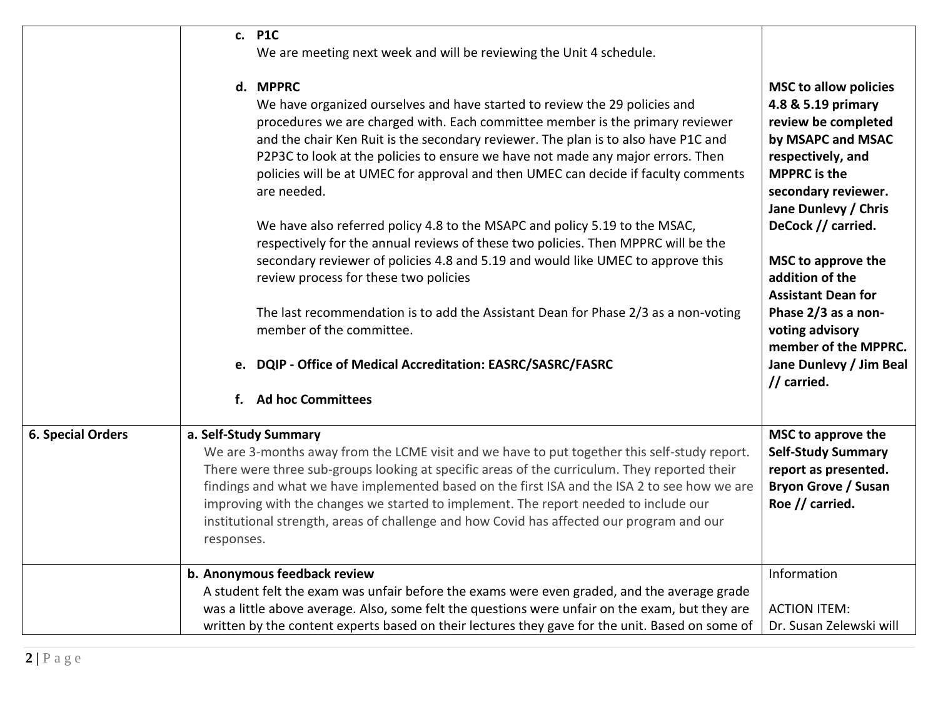|                          | c. P1C<br>We are meeting next week and will be reviewing the Unit 4 schedule.                                                                                                                                                                                                                                                                                                                                                                                                                                                                                                                                                                                                                                                                        |                                                                                                                                                                                                                                                          |
|--------------------------|------------------------------------------------------------------------------------------------------------------------------------------------------------------------------------------------------------------------------------------------------------------------------------------------------------------------------------------------------------------------------------------------------------------------------------------------------------------------------------------------------------------------------------------------------------------------------------------------------------------------------------------------------------------------------------------------------------------------------------------------------|----------------------------------------------------------------------------------------------------------------------------------------------------------------------------------------------------------------------------------------------------------|
|                          | d. MPPRC<br>We have organized ourselves and have started to review the 29 policies and<br>procedures we are charged with. Each committee member is the primary reviewer<br>and the chair Ken Ruit is the secondary reviewer. The plan is to also have P1C and<br>P2P3C to look at the policies to ensure we have not made any major errors. Then<br>policies will be at UMEC for approval and then UMEC can decide if faculty comments<br>are needed.<br>We have also referred policy 4.8 to the MSAPC and policy 5.19 to the MSAC,<br>respectively for the annual reviews of these two policies. Then MPPRC will be the<br>secondary reviewer of policies 4.8 and 5.19 and would like UMEC to approve this<br>review process for these two policies | <b>MSC to allow policies</b><br>4.8 & 5.19 primary<br>review be completed<br>by MSAPC and MSAC<br>respectively, and<br><b>MPPRC</b> is the<br>secondary reviewer.<br>Jane Dunlevy / Chris<br>DeCock // carried.<br>MSC to approve the<br>addition of the |
|                          | The last recommendation is to add the Assistant Dean for Phase 2/3 as a non-voting<br>member of the committee.                                                                                                                                                                                                                                                                                                                                                                                                                                                                                                                                                                                                                                       | <b>Assistant Dean for</b><br>Phase 2/3 as a non-<br>voting advisory<br>member of the MPPRC.                                                                                                                                                              |
|                          | e. DQIP - Office of Medical Accreditation: EASRC/SASRC/FASRC                                                                                                                                                                                                                                                                                                                                                                                                                                                                                                                                                                                                                                                                                         | Jane Dunlevy / Jim Beal<br>// carried.                                                                                                                                                                                                                   |
|                          | <b>Ad hoc Committees</b><br>$f_{\cdot}$                                                                                                                                                                                                                                                                                                                                                                                                                                                                                                                                                                                                                                                                                                              |                                                                                                                                                                                                                                                          |
| <b>6. Special Orders</b> | a. Self-Study Summary<br>We are 3-months away from the LCME visit and we have to put together this self-study report.<br>There were three sub-groups looking at specific areas of the curriculum. They reported their<br>findings and what we have implemented based on the first ISA and the ISA 2 to see how we are<br>improving with the changes we started to implement. The report needed to include our<br>institutional strength, areas of challenge and how Covid has affected our program and our<br>responses.                                                                                                                                                                                                                             | MSC to approve the<br><b>Self-Study Summary</b><br>report as presented.<br><b>Bryon Grove / Susan</b><br>Roe // carried.                                                                                                                                 |
|                          | b. Anonymous feedback review<br>A student felt the exam was unfair before the exams were even graded, and the average grade<br>was a little above average. Also, some felt the questions were unfair on the exam, but they are<br>written by the content experts based on their lectures they gave for the unit. Based on some of                                                                                                                                                                                                                                                                                                                                                                                                                    | Information<br><b>ACTION ITEM:</b><br>Dr. Susan Zelewski will                                                                                                                                                                                            |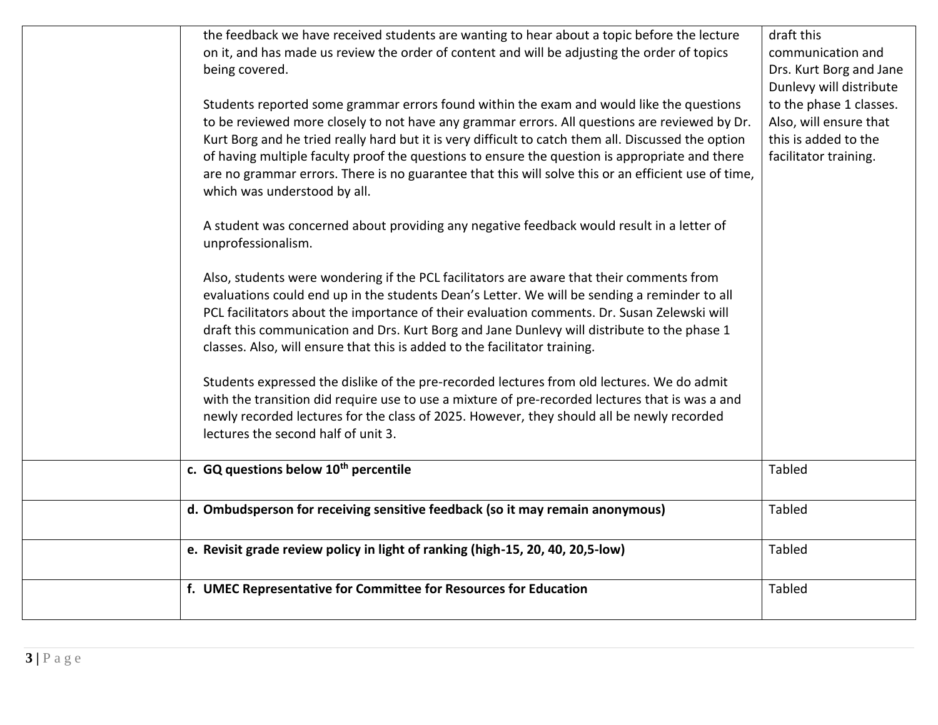| the feedback we have received students are wanting to hear about a topic before the lecture<br>on it, and has made us review the order of content and will be adjusting the order of topics<br>being covered.<br>Students reported some grammar errors found within the exam and would like the questions<br>to be reviewed more closely to not have any grammar errors. All questions are reviewed by Dr.<br>Kurt Borg and he tried really hard but it is very difficult to catch them all. Discussed the option<br>of having multiple faculty proof the questions to ensure the question is appropriate and there<br>are no grammar errors. There is no guarantee that this will solve this or an efficient use of time,<br>which was understood by all.<br>A student was concerned about providing any negative feedback would result in a letter of | draft this<br>communication and<br>Drs. Kurt Borg and Jane<br>Dunlevy will distribute<br>to the phase 1 classes.<br>Also, will ensure that<br>this is added to the<br>facilitator training. |
|---------------------------------------------------------------------------------------------------------------------------------------------------------------------------------------------------------------------------------------------------------------------------------------------------------------------------------------------------------------------------------------------------------------------------------------------------------------------------------------------------------------------------------------------------------------------------------------------------------------------------------------------------------------------------------------------------------------------------------------------------------------------------------------------------------------------------------------------------------|---------------------------------------------------------------------------------------------------------------------------------------------------------------------------------------------|
| unprofessionalism.<br>Also, students were wondering if the PCL facilitators are aware that their comments from<br>evaluations could end up in the students Dean's Letter. We will be sending a reminder to all<br>PCL facilitators about the importance of their evaluation comments. Dr. Susan Zelewski will<br>draft this communication and Drs. Kurt Borg and Jane Dunlevy will distribute to the phase 1<br>classes. Also, will ensure that this is added to the facilitator training.<br>Students expressed the dislike of the pre-recorded lectures from old lectures. We do admit<br>with the transition did require use to use a mixture of pre-recorded lectures that is was a and<br>newly recorded lectures for the class of 2025. However, they should all be newly recorded<br>lectures the second half of unit 3.                         |                                                                                                                                                                                             |
| c. GQ questions below 10 <sup>th</sup> percentile                                                                                                                                                                                                                                                                                                                                                                                                                                                                                                                                                                                                                                                                                                                                                                                                       | Tabled                                                                                                                                                                                      |
| d. Ombudsperson for receiving sensitive feedback (so it may remain anonymous)                                                                                                                                                                                                                                                                                                                                                                                                                                                                                                                                                                                                                                                                                                                                                                           | Tabled                                                                                                                                                                                      |
| e. Revisit grade review policy in light of ranking (high-15, 20, 40, 20,5-low)                                                                                                                                                                                                                                                                                                                                                                                                                                                                                                                                                                                                                                                                                                                                                                          | Tabled                                                                                                                                                                                      |
| f. UMEC Representative for Committee for Resources for Education                                                                                                                                                                                                                                                                                                                                                                                                                                                                                                                                                                                                                                                                                                                                                                                        | Tabled                                                                                                                                                                                      |